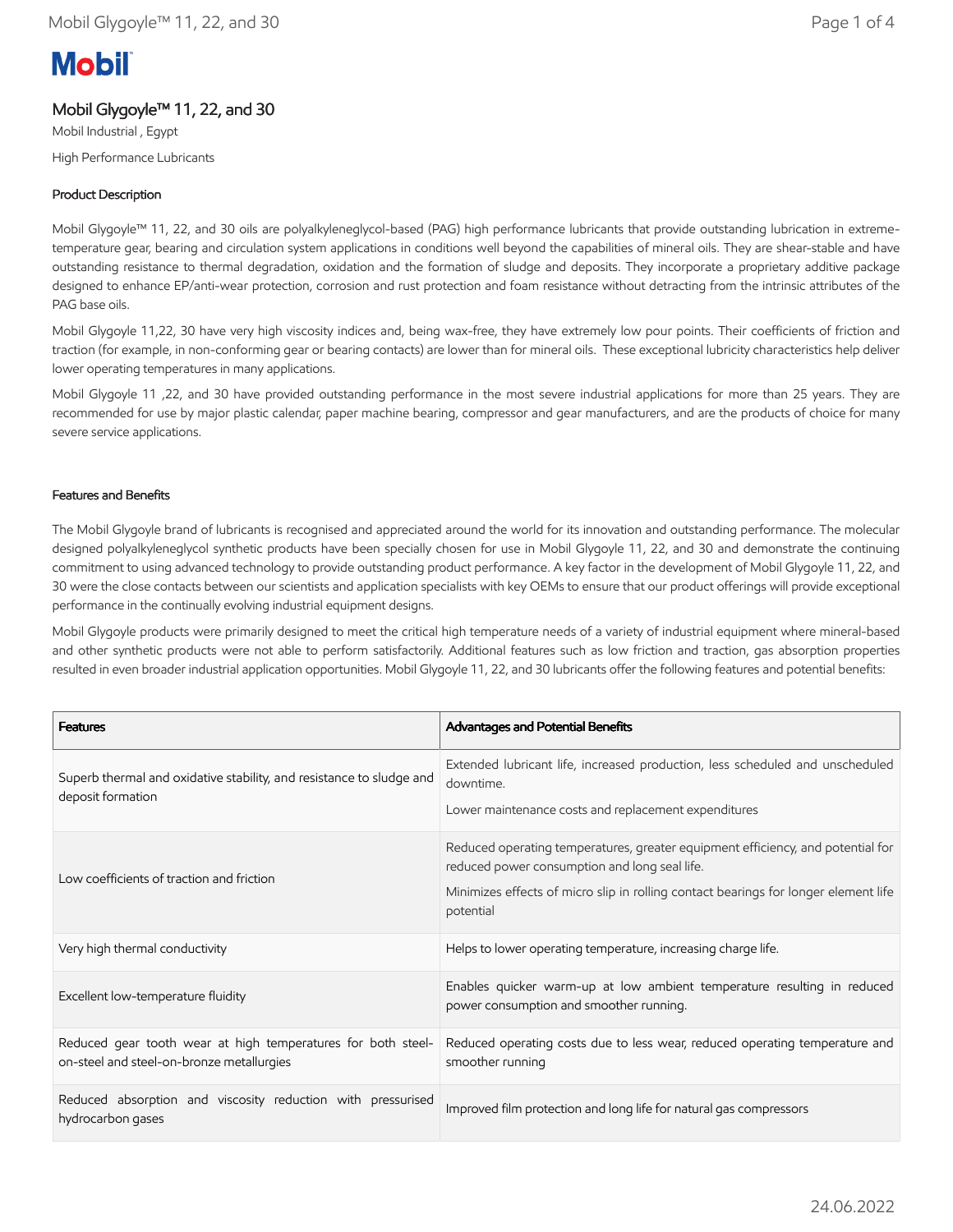# **Mobil**

# Mobil Glygoyle™ 11, 22, and 30

Mobil Industrial , Egypt High Performance Lubricants

## Product Description

Mobil Glygoyle™ 11, 22, and 30 oils are polyalkyleneglycol-based (PAG) high performance lubricants that provide outstanding lubrication in extremetemperature gear, bearing and circulation system applications in conditions well beyond the capabilities of mineral oils. They are shear-stable and have outstanding resistance to thermal degradation, oxidation and the formation of sludge and deposits. They incorporate a proprietary additive package designed to enhance EP/anti-wear protection, corrosion and rust protection and foam resistance without detracting from the intrinsic attributes of the PAG base oils.

Mobil Glygoyle 11,22, 30 have very high viscosity indices and, being wax-free, they have extremely low pour points. Their coefficients of friction and traction (for example, in non-conforming gear or bearing contacts) are lower than for mineral oils. These exceptional lubricity characteristics help deliver lower operating temperatures in many applications.

Mobil Glygoyle 11 ,22, and 30 have provided outstanding performance in the most severe industrial applications for more than 25 years. They are recommended for use by major plastic calendar, paper machine bearing, compressor and gear manufacturers, and are the products of choice for many severe service applications.

## Features and Benefits

The Mobil Glygoyle brand of lubricants is recognised and appreciated around the world for its innovation and outstanding performance. The molecular designed polyalkyleneglycol synthetic products have been specially chosen for use in Mobil Glygoyle 11, 22, and 30 and demonstrate the continuing commitment to using advanced technology to provide outstanding product performance. A key factor in the development of Mobil Glygoyle 11, 22, and 30 were the close contacts between our scientists and application specialists with key OEMs to ensure that our product offerings will provide exceptional performance in the continually evolving industrial equipment designs.

Mobil Glygoyle products were primarily designed to meet the critical high temperature needs of a variety of industrial equipment where mineral-based and other synthetic products were not able to perform satisfactorily. Additional features such as low friction and traction, gas absorption properties resulted in even broader industrial application opportunities. Mobil Glygoyle 11, 22, and 30 lubricants offer the following features and potential benefits:

| <b>Features</b>                                                                                           | Advantages and Potential Benefits                                                                                                                                                                                                    |
|-----------------------------------------------------------------------------------------------------------|--------------------------------------------------------------------------------------------------------------------------------------------------------------------------------------------------------------------------------------|
| Superb thermal and oxidative stability, and resistance to sludge and<br>deposit formation                 | Extended lubricant life, increased production, less scheduled and unscheduled<br>downtime.<br>Lower maintenance costs and replacement expenditures                                                                                   |
| Low coefficients of traction and friction                                                                 | Reduced operating temperatures, greater equipment efficiency, and potential for<br>reduced power consumption and long seal life.<br>Minimizes effects of micro slip in rolling contact bearings for longer element life<br>potential |
| Very high thermal conductivity                                                                            | Helps to lower operating temperature, increasing charge life.                                                                                                                                                                        |
| Excellent low-temperature fluidity                                                                        | Enables quicker warm-up at low ambient temperature resulting in reduced<br>power consumption and smoother running.                                                                                                                   |
| Reduced gear tooth wear at high temperatures for both steel-<br>on-steel and steel-on-bronze metallurgies | Reduced operating costs due to less wear, reduced operating temperature and<br>smoother running                                                                                                                                      |
| Reduced absorption and viscosity reduction with pressurised<br>hydrocarbon gases                          | Improved film protection and long life for natural gas compressors                                                                                                                                                                   |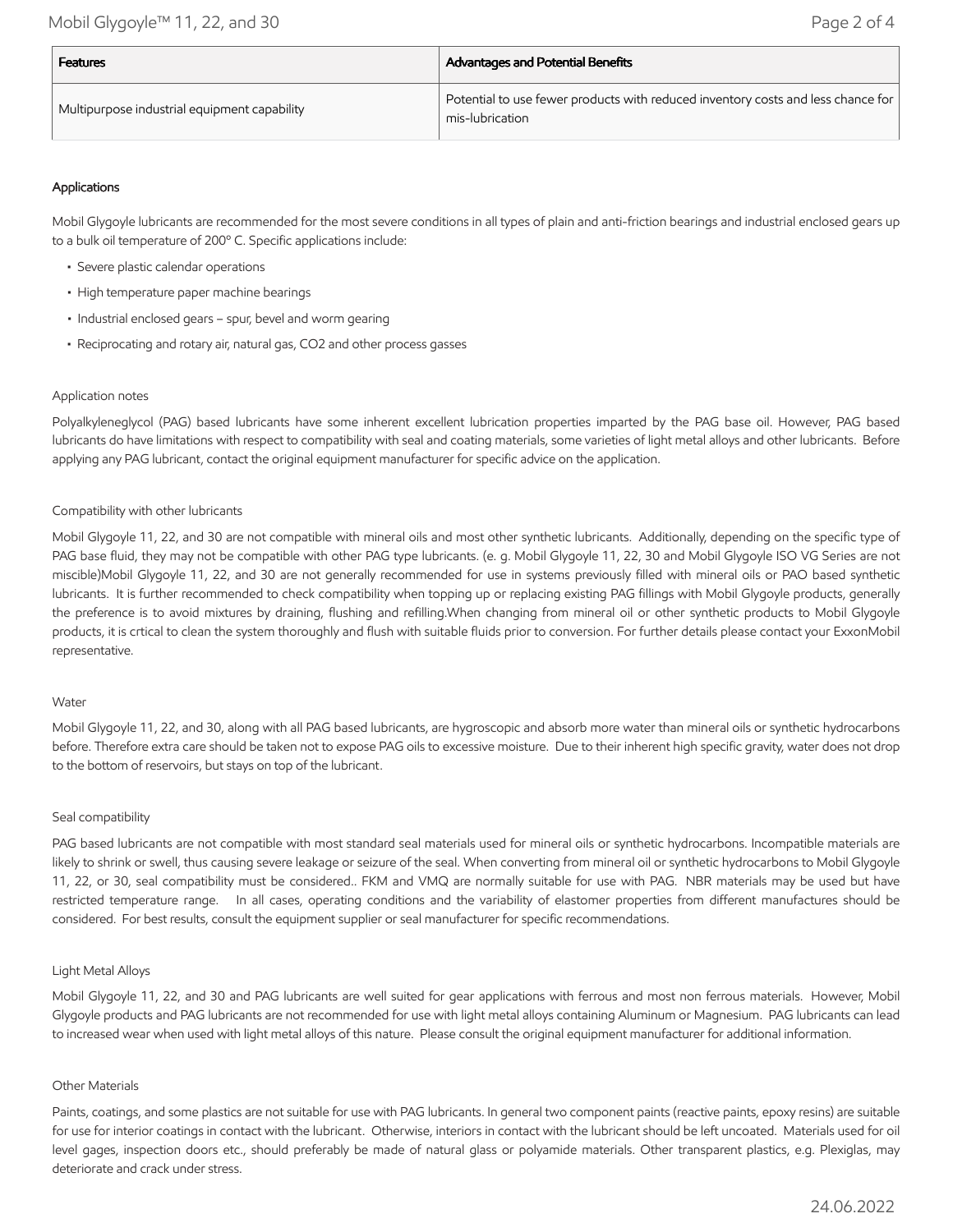| <b>Features</b>                              | <b>Advantages and Potential Benefits</b>                                                            |  |
|----------------------------------------------|-----------------------------------------------------------------------------------------------------|--|
| Multipurpose industrial equipment capability | Potential to use fewer products with reduced inventory costs and less chance for<br>mis-lubrication |  |

## Applications

Mobil Glygoyle lubricants are recommended for the most severe conditions in all types of plain and anti-friction bearings and industrial enclosed gears up to a bulk oil temperature of 200º C. Specific applications include:

- Severe plastic calendar operations
- High temperature paper machine bearings
- Industrial enclosed gears spur, bevel and worm gearing
- Reciprocating and rotary air, natural gas, CO2 and other process gasses

## Application notes

Polyalkyleneglycol (PAG) based lubricants have some inherent excellent lubrication properties imparted by the PAG base oil. However, PAG based lubricants do have limitations with respect to compatibility with seal and coating materials, some varieties of light metal alloys and other lubricants. Before applying any PAG lubricant, contact the original equipment manufacturer for specific advice on the application.

## Compatibility with other lubricants

Mobil Glygoyle 11, 22, and 30 are not compatible with mineral oils and most other synthetic lubricants. Additionally, depending on the specific type of PAG base fluid, they may not be compatible with other PAG type lubricants. (e. g. Mobil Glygoyle 11, 22, 30 and Mobil Glygoyle ISO VG Series are not miscible)Mobil Glygoyle 11, 22, and 30 are not generally recommended for use in systems previously filled with mineral oils or PAO based synthetic lubricants. It is further recommended to check compatibility when topping up or replacing existing PAG fillings with Mobil Glygoyle products, generally the preference is to avoid mixtures by draining, flushing and refilling.When changing from mineral oil or other synthetic products to Mobil Glygoyle products, it is crtical to clean the system thoroughly and flush with suitable fluids prior to conversion. For further details please contact your ExxonMobil representative.

#### Water

Mobil Glygoyle 11, 22, and 30, along with all PAG based lubricants, are hygroscopic and absorb more water than mineral oils or synthetic hydrocarbons before. Therefore extra care should be taken not to expose PAG oils to excessive moisture. Due to their inherent high specific gravity, water does not drop to the bottom of reservoirs, but stays on top of the lubricant.

#### Seal compatibility

PAG based lubricants are not compatible with most standard seal materials used for mineral oils or synthetic hydrocarbons. Incompatible materials are likely to shrink or swell, thus causing severe leakage or seizure of the seal. When converting from mineral oil or synthetic hydrocarbons to Mobil Glygoyle 11, 22, or 30, seal compatibility must be considered.. FKM and VMQ are normally suitable for use with PAG. NBR materials may be used but have restricted temperature range. In all cases, operating conditions and the variability of elastomer properties from different manufactures should be considered. For best results, consult the equipment supplier or seal manufacturer for specific recommendations.

## Light Metal Alloys

Mobil Glygoyle 11, 22, and 30 and PAG lubricants are well suited for gear applications with ferrous and most non ferrous materials. However, Mobil Glygoyle products and PAG lubricants are not recommended for use with light metal alloys containing Aluminum or Magnesium. PAG lubricants can lead to increased wear when used with light metal alloys of this nature. Please consult the original equipment manufacturer for additional information.

#### Other Materials

Paints, coatings, and some plastics are not suitable for use with PAG lubricants. In general two component paints (reactive paints, epoxy resins) are suitable for use for interior coatings in contact with the lubricant. Otherwise, interiors in contact with the lubricant should be left uncoated. Materials used for oil level gages, inspection doors etc., should preferably be made of natural glass or polyamide materials. Other transparent plastics, e.g. Plexiglas, may deteriorate and crack under stress.